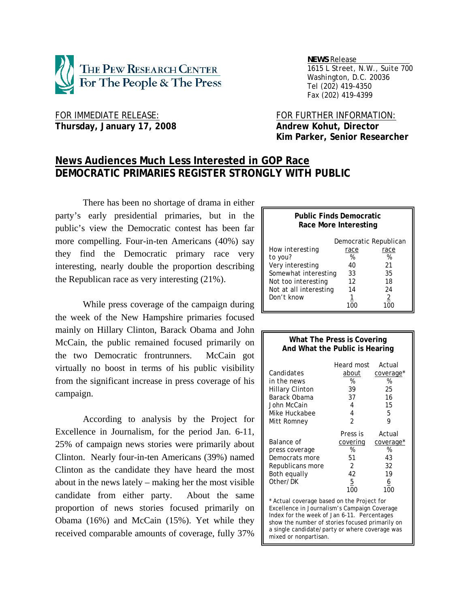

 *NEWS Release . 1615 L Street, N.W., Suite 700 Washington, D.C. 20036 Tel (202) 419-4350 Fax (202) 419-4399*

FOR IMMEDIATE RELEASE: FOR FURTHER INFORMATION: Thursday, January 17, 2008 **Andrew Kohut, Director** 

 **Kim Parker, Senior Researcher** 

# **News Audiences Much Less Interested in GOP Race DEMOCRATIC PRIMARIES REGISTER STRONGLY WITH PUBLIC**

 There has been no shortage of drama in either party's early presidential primaries, but in the public's view the Democratic contest has been far more compelling. Four-in-ten Americans (40%) say they find the Democratic primary race very interesting, nearly double the proportion describing the Republican race as very interesting (21%).

 While press coverage of the campaign during the week of the New Hampshire primaries focused mainly on Hillary Clinton, Barack Obama and John McCain, the public remained focused primarily on the two Democratic frontrunners. McCain got virtually no boost in terms of his public visibility from the significant increase in press coverage of his campaign.

 According to analysis by the Project for Excellence in Journalism, for the period Jan. 6-11, 25% of campaign news stories were primarily about Clinton. Nearly four-in-ten Americans (39%) named Clinton as the candidate they have heard the most about in the news lately – making her the most visible candidate from either party. About the same proportion of news stories focused primarily on Obama (16%) and McCain (15%). Yet while they received comparable amounts of coverage, fully 37%

### **Public Finds Democratic Race More Interesting**

|                        |      | Democratic Republican |
|------------------------|------|-----------------------|
| How interesting        | race | race                  |
| to you?                | %    | %                     |
| Very interesting       | 40   | 21                    |
| Somewhat interesting   | 33   | 35                    |
| Not too interesting    | 12   | 18                    |
| Not at all interesting | 14   | 24                    |
| Don't know             | 1    | 2                     |
|                        |      |                       |

| What The Press is Covering<br>And What the Public is Hearing                                                                                                                                 |                                                                            |                                                               |  |  |  |
|----------------------------------------------------------------------------------------------------------------------------------------------------------------------------------------------|----------------------------------------------------------------------------|---------------------------------------------------------------|--|--|--|
| Candidates<br>in the news<br><b>Hillary Clinton</b><br>Barack Obama                                                                                                                          | Heard most<br>about<br>%<br>39<br>37                                       | Actual<br>coverage*<br>%<br>25<br>16                          |  |  |  |
| John McCain<br>Mike Huckabee<br>Mitt Romney                                                                                                                                                  | 4<br>4<br>$\overline{2}$                                                   | 15<br>5<br>9                                                  |  |  |  |
| <i>Balance of</i><br>press coverage<br>Democrats more<br>Republicans more<br>Both equally<br>Other/DK                                                                                        | Press is<br><u>covering</u><br>%<br>51<br>2<br>42<br>$\overline{5}$<br>100 | Actual<br>coverage*<br>%<br>43<br>32<br>19<br><u>6</u><br>100 |  |  |  |
| * Actual coverage based on the Project for<br>Excellence in Journalism's Campaign Coverage<br>Index for the week of Jan 6-11. Percentages<br>show the number of stories focused primarily on |                                                                            |                                                               |  |  |  |

a single candidate/party or where coverage was

mixed or nonpartisan.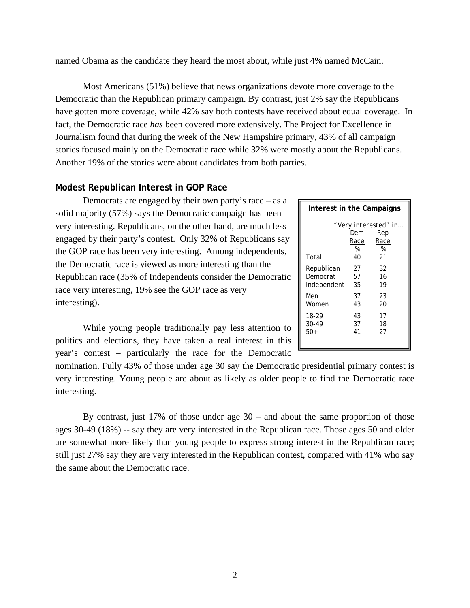named Obama as the candidate they heard the most about, while just 4% named McCain.

 Most Americans (51%) believe that news organizations devote more coverage to the Democratic than the Republican primary campaign. By contrast, just 2% say the Republicans have gotten more coverage, while 42% say both contests have received about equal coverage. In fact, the Democratic race *has* been covered more extensively. The Project for Excellence in Journalism found that during the week of the New Hampshire primary, 43% of all campaign stories focused mainly on the Democratic race while 32% were mostly about the Republicans. Another 19% of the stories were about candidates from both parties.

## **Modest Republican Interest in GOP Race**

 Democrats are engaged by their own party's race – as a solid majority (57%) says the Democratic campaign has been very interesting. Republicans, on the other hand, are much less engaged by their party's contest. Only 32% of Republicans say the GOP race has been very interesting. Among independents, the Democratic race is viewed as more interesting than the Republican race (35% of Independents consider the Democratic race very interesting, 19% see the GOP race as very interesting).

| Interest in the Campaigns |                        |                                                 |  |  |  |
|---------------------------|------------------------|-------------------------------------------------|--|--|--|
| Total                     | Dem<br>Race<br>%<br>40 | " Very interested" in<br>Rep<br>Race<br>%<br>21 |  |  |  |
| Republican                | 27                     | 32                                              |  |  |  |
| Democrat                  | 57                     | 16                                              |  |  |  |
| Independent               | 35                     | 19                                              |  |  |  |
| Men                       | 37                     | 23                                              |  |  |  |
| Women                     | 43                     | 20                                              |  |  |  |
| 18-29                     | 43                     | 17                                              |  |  |  |
| 30-49                     | 37                     | 18                                              |  |  |  |
| $50+$                     | 41                     | 27                                              |  |  |  |

 While young people traditionally pay less attention to politics and elections, they have taken a real interest in this year's contest – particularly the race for the Democratic

nomination. Fully 43% of those under age 30 say the Democratic presidential primary contest is very interesting. Young people are about as likely as older people to find the Democratic race interesting.

By contrast, just 17% of those under age  $30$  – and about the same proportion of those ages 30-49 (18%) -- say they are very interested in the Republican race. Those ages 50 and older are somewhat more likely than young people to express strong interest in the Republican race; still just 27% say they are very interested in the Republican contest, compared with 41% who say the same about the Democratic race.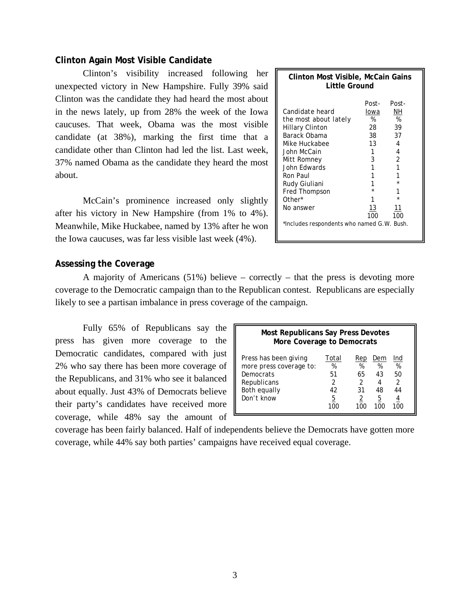## **Clinton Again Most Visible Candidate**

 Clinton's visibility increased following her unexpected victory in New Hampshire. Fully 39% said Clinton was the candidate they had heard the most about in the news lately, up from 28% the week of the Iowa caucuses. That week, Obama was the most visible candidate (at 38%), marking the first time that a candidate other than Clinton had led the list. Last week, 37% named Obama as the candidate they heard the most about.

 McCain's prominence increased only slightly after his victory in New Hampshire (from 1% to 4%). Meanwhile, Mike Huckabee, named by 13% after he won the Iowa caucuses, was far less visible last week (4%).

| Clinton Most Visible, McCain Gains<br>Little Ground                                                                                                                                                                                                                  |                                                                        |                                                                       |  |  |
|----------------------------------------------------------------------------------------------------------------------------------------------------------------------------------------------------------------------------------------------------------------------|------------------------------------------------------------------------|-----------------------------------------------------------------------|--|--|
| <i>Candidate heard</i><br>the most about lately<br>Hillary Clinton<br>Barack Obama<br>Mike Huckabee<br>John McCain<br>Mitt Romney<br>John Edwards<br>Ron Paul<br>Rudy Giuliani<br>Fred Thompson<br>Other*<br>No answer<br>*Includes respondents who named G.W. Bush. | Post-<br>lowa<br>%<br>28.<br>38<br>13<br>1<br>3<br>1<br>1<br>13<br>100 | Post-<br>NΗ<br>%<br>39<br>37<br>4<br>4<br>$\overline{2}$<br>11<br>100 |  |  |

## **Assessing the Coverage**

 A majority of Americans (51%) believe – correctly – that the press is devoting more coverage to the Democratic campaign than to the Republican contest. Republicans are especially likely to see a partisan imbalance in press coverage of the campaign.

Fully 65% of Republicans say the press has given more coverage to the Democratic candidates, compared with just 2% who say there has been more coverage of the Republicans, and 31% who see it balanced about equally. Just 43% of Democrats believe their party's candidates have received more coverage, while 48% say the amount of

| <b>Most Republicans Say Press Devotes</b><br>More Coverage to Democrats                                    |                                                     |                                |                                |                                                    |  |  |  |
|------------------------------------------------------------------------------------------------------------|-----------------------------------------------------|--------------------------------|--------------------------------|----------------------------------------------------|--|--|--|
| Press has been giving<br>more press coverage to:<br>Democrats<br>Republicans<br>Both equally<br>Don't know | Total<br>%<br>51<br>$\mathcal{P}$<br>42<br><u>5</u> | Rep<br>%<br>65<br>2<br>31<br>2 | Dem<br>%<br>43<br>4<br>48<br>5 | Ind<br>%<br>50<br>$\mathcal{P}$<br>44<br>4<br>I NU |  |  |  |

coverage has been fairly balanced. Half of independents believe the Democrats have gotten more coverage, while 44% say both parties' campaigns have received equal coverage.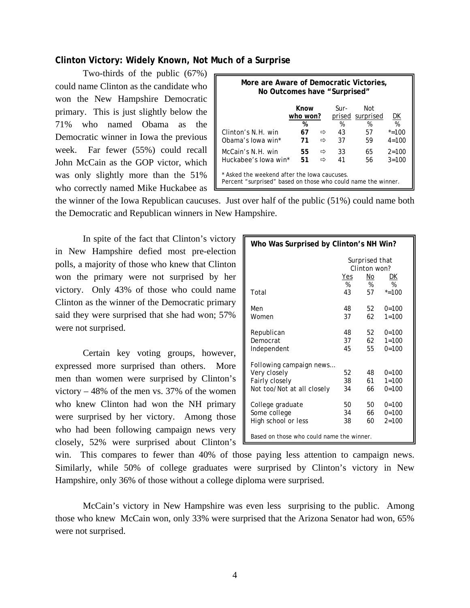## **Clinton Victory: Widely Known, Not Much of a Surprise**

 Two-thirds of the public (67%) could name Clinton as the candidate who won the New Hampshire Democratic primary. This is just slightly below the 71% who named Obama as the Democratic winner in Iowa the previous week. Far fewer (55%) could recall John McCain as the GOP victor, which was only slightly more than the 51% who correctly named Mike Huckabee as 1

| More are Aware of Democratic Victories,<br>No Outcomes have "Surprised"                                       |          |        |          |          |                        |  |  |
|---------------------------------------------------------------------------------------------------------------|----------|--------|----------|----------|------------------------|--|--|
| Know<br>Sur-<br>Not<br>who won?<br>prised surprised<br><u>DК</u><br>%<br>%<br>%<br>%                          |          |        |          |          |                        |  |  |
| Clinton's N.H. win<br>Obama's lowa win*                                                                       | 67<br>71 | ⇨<br>⇨ | 43<br>37 | 57<br>59 | $* = 100$<br>$4 = 100$ |  |  |
| McCain's N.H. win<br>Huckabee's lowa win*                                                                     | 55<br>51 | ⇨<br>⇨ | 33<br>41 | 65<br>56 | $2 = 100$<br>$3 = 100$ |  |  |
| * Asked the weekend after the lowa caucuses.<br>Percent "surprised" based on those who could name the winner. |          |        |          |          |                        |  |  |

the winner of the Iowa Republican caucuses. Just over half of the public (51%) could name both the Democratic and Republican winners in New Hampshire.

 In spite of the fact that Clinton's victory in New Hampshire defied most pre-election polls, a majority of those who knew that Clinton won the primary were not surprised by her victory. Only 43% of those who could name Clinton as the winner of the Democratic primary said they were surprised that she had won; 57% were not surprised.

 Certain key voting groups, however, expressed more surprised than others. More men than women were surprised by Clinton's victory – 48% of the men vs. 37% of the women who knew Clinton had won the NH primary were surprised by her victory. Among those who had been following campaign news very closely, 52% were surprised about Clinton's

| Who Was Surprised by Clinton's NH Win?    |                                |      |           |  |  |  |  |
|-------------------------------------------|--------------------------------|------|-----------|--|--|--|--|
|                                           | Surprised that<br>Clinton won? |      |           |  |  |  |  |
|                                           | Yes                            | No   | DK        |  |  |  |  |
|                                           | %                              | %    | %         |  |  |  |  |
| Total                                     | 43                             | 57   | $* = 100$ |  |  |  |  |
| Men                                       | 48                             | 52   | $0 = 100$ |  |  |  |  |
| Women                                     | 37                             | 62   | $1 = 100$ |  |  |  |  |
| Republican                                | 48                             | 52   | $0 = 100$ |  |  |  |  |
| Democrat                                  | 37                             | 62   | $1 = 100$ |  |  |  |  |
| Independent                               | 45                             | 55   | $0 = 100$ |  |  |  |  |
| Following campaign news                   |                                |      |           |  |  |  |  |
| Very closely                              | 52                             | 48   | $0 = 100$ |  |  |  |  |
| Fairly closely                            | 38                             | 61   | $1 = 100$ |  |  |  |  |
| Not too/Not at all closely                | 34                             | 66 - | $0 = 100$ |  |  |  |  |
| College graduate                          | 50                             | 50   | $0=100$   |  |  |  |  |
| Some college                              | 34                             | 66 - | $0 = 100$ |  |  |  |  |
| High school or less                       | 38                             | 60   | $2 = 100$ |  |  |  |  |
| Based on those who could name the winner. |                                |      |           |  |  |  |  |

win. This compares to fewer than 40% of those paying less attention to campaign news. Similarly, while 50% of college graduates were surprised by Clinton's victory in New Hampshire, only 36% of those without a college diploma were surprised.

 McCain's victory in New Hampshire was even less surprising to the public. Among those who knew McCain won, only 33% were surprised that the Arizona Senator had won, 65% were not surprised.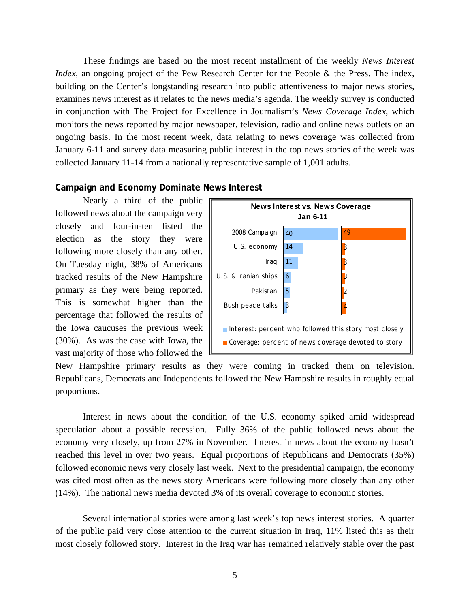These findings are based on the most recent installment of the weekly *News Interest Index*, an ongoing project of the Pew Research Center for the People & the Press. The index, building on the Center's longstanding research into public attentiveness to major news stories, examines news interest as it relates to the news media's agenda. The weekly survey is conducted in conjunction with The Project for Excellence in Journalism's *News Coverage Index*, which monitors the news reported by major newspaper, television, radio and online news outlets on an ongoing basis. In the most recent week, data relating to news coverage was collected from January 6-11 and survey data measuring public interest in the top news stories of the week was collected January 11-14 from a nationally representative sample of 1,001 adults.

## **Campaign and Economy Dominate News Interest**

 Nearly a third of the public followed news about the campaign very closely and four-in-ten listed the election as the story they were following more closely than any other. On Tuesday night, 38% of Americans tracked results of the New Hampshire primary as they were being reported. This is somewhat higher than the percentage that followed the results of the Iowa caucuses the previous week (30%). As was the case with Iowa, the vast majority of those who followed the



New Hampshire primary results as they were coming in tracked them on television. Republicans, Democrats and Independents followed the New Hampshire results in roughly equal proportions.

 Interest in news about the condition of the U.S. economy spiked amid widespread speculation about a possible recession. Fully 36% of the public followed news about the economy very closely, up from 27% in November. Interest in news about the economy hasn't reached this level in over two years. Equal proportions of Republicans and Democrats (35%) followed economic news very closely last week. Next to the presidential campaign, the economy was cited most often as the news story Americans were following more closely than any other (14%). The national news media devoted 3% of its overall coverage to economic stories.

 Several international stories were among last week's top news interest stories. A quarter of the public paid very close attention to the current situation in Iraq, 11% listed this as their most closely followed story. Interest in the Iraq war has remained relatively stable over the past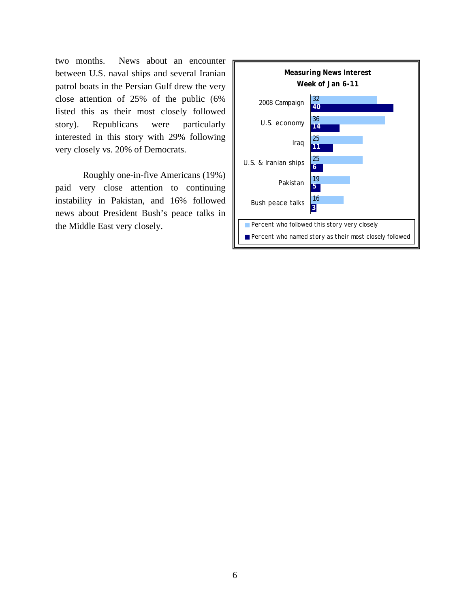two months. News about an encounter between U.S. naval ships and several Iranian patrol boats in the Persian Gulf drew the very close attention of 25% of the public (6% listed this as their most closely followed story). Republicans were particularly interested in this story with 29% following very closely vs. 20% of Democrats.

 Roughly one-in-five Americans (19%) paid very close attention to continuing instability in Pakistan, and 16% followed news about President Bush's peace talks in the Middle East very closely.

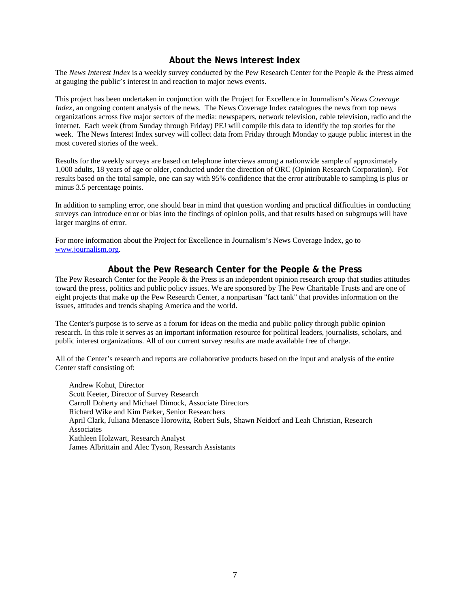## **About the News Interest Index**

The *News Interest Index* is a weekly survey conducted by the Pew Research Center for the People & the Press aimed at gauging the public's interest in and reaction to major news events.

This project has been undertaken in conjunction with the Project for Excellence in Journalism's *News Coverage Index*, an ongoing content analysis of the news. The News Coverage Index catalogues the news from top news organizations across five major sectors of the media: newspapers, network television, cable television, radio and the internet. Each week (from Sunday through Friday) PEJ will compile this data to identify the top stories for the week. The News Interest Index survey will collect data from Friday through Monday to gauge public interest in the most covered stories of the week.

Results for the weekly surveys are based on telephone interviews among a nationwide sample of approximately 1,000 adults, 18 years of age or older, conducted under the direction of ORC (Opinion Research Corporation). For results based on the total sample, one can say with 95% confidence that the error attributable to sampling is plus or minus 3.5 percentage points.

In addition to sampling error, one should bear in mind that question wording and practical difficulties in conducting surveys can introduce error or bias into the findings of opinion polls, and that results based on subgroups will have larger margins of error.

For more information about the Project for Excellence in Journalism's News Coverage Index, go to www.journalism.org.

## **About the Pew Research Center for the People & the Press**

The Pew Research Center for the People & the Press is an independent opinion research group that studies attitudes toward the press, politics and public policy issues. We are sponsored by The Pew Charitable Trusts and are one of eight projects that make up the Pew Research Center, a nonpartisan "fact tank" that provides information on the issues, attitudes and trends shaping America and the world.

The Center's purpose is to serve as a forum for ideas on the media and public policy through public opinion research. In this role it serves as an important information resource for political leaders, journalists, scholars, and public interest organizations. All of our current survey results are made available free of charge.

All of the Center's research and reports are collaborative products based on the input and analysis of the entire Center staff consisting of:

 Andrew Kohut, Director Scott Keeter, Director of Survey Research Carroll Doherty and Michael Dimock, Associate Directors Richard Wike and Kim Parker, Senior Researchers April Clark, Juliana Menasce Horowitz, Robert Suls, Shawn Neidorf and Leah Christian, Research **Associates**  Kathleen Holzwart, Research Analyst James Albrittain and Alec Tyson, Research Assistants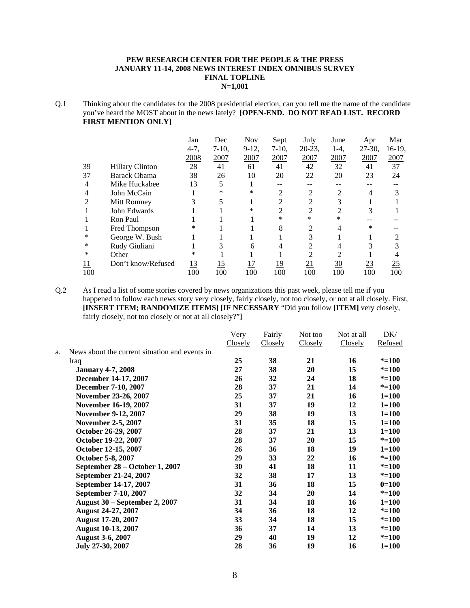### **PEW RESEARCH CENTER FOR THE PEOPLE & THE PRESS JANUARY 11-14, 2008 NEWS INTEREST INDEX OMNIBUS SURVEY FINAL TOPLINE N=1,001**

Q.1 Thinking about the candidates for the 2008 presidential election, can you tell me the name of the candidate you've heard the MOST about in the news lately? **[OPEN-END. DO NOT READ LIST. RECORD FIRST MENTION ONLY]**

|            |                        | Jan       | Dec        | <b>Nov</b> | Sept       | July           | June            | Apr       | Mar    |
|------------|------------------------|-----------|------------|------------|------------|----------------|-----------------|-----------|--------|
|            |                        | $4-7,$    | $7-10$ ,   | $9-12$ ,   | $7-10$ ,   | $20-23$ ,      | $1-4.$          | $27-30$ , | 16-19, |
|            |                        | 2008      | 2007       | 2007       | 2007       | 2007           | 2007            | 2007      | 2007   |
| 39         | <b>Hillary Clinton</b> | 28        | 41         | 61         | 41         | 42             | 32              | 41        | 37     |
| 37         | Barack Obama           | 38        | 26         | 10         | 20         | 22             | 20              | 23        | 24     |
| 4          | Mike Huckabee          | 13        | 5          |            |            |                |                 |           |        |
| 4          | John McCain            |           | *          | $\ast$     | C          | 2              | 2               | 4         |        |
| 2          | Mitt Romney            | 3         | 5          |            | ↑          | $\overline{c}$ | 3               |           |        |
|            | John Edwards           |           |            | ∗          | 2          | 2              | 2               | 3         |        |
|            | Ron Paul               |           |            |            | $\ast$     | $\ast$         | *               |           |        |
|            | Fred Thompson          | ∗         |            |            | 8          | 2              | 4               | *         |        |
| *          | George W. Bush         |           |            |            |            | 3              |                 |           |        |
| $\ast$     | Rudy Giuliani          |           | 3          | 6          | 4          | 2              | 4               |           |        |
| ∗          | Other                  | $\ast$    |            |            |            | າ              | $\mathcal{D}$   |           |        |
| <u> 11</u> | Don't know/Refused     | <u>13</u> | <u> 15</u> | <u> 17</u> | <u> 19</u> | 21             | $\overline{30}$ | <u>23</u> | 25     |
| 100        |                        | 100       | 100        | 100        | 100        | 100            | 100             | 100       | 100    |

Q.2 As I read a list of some stories covered by news organizations this past week, please tell me if you happened to follow each news story very closely, fairly closely, not too closely, or not at all closely. First, **[INSERT ITEM; RANDOMIZE ITEMS] [IF NECESSARY** "Did you follow **[ITEM]** very closely, fairly closely, not too closely or not at all closely?"**]** 

|    |                                                | Very    | Fairly  | Not too | Not at all | DK/       |
|----|------------------------------------------------|---------|---------|---------|------------|-----------|
|    |                                                | Closely | Closely | Closely | Closely    | Refused   |
| a. | News about the current situation and events in |         |         |         |            |           |
|    | Iraq                                           | 25      | 38      | 21      | 16         | $* = 100$ |
|    | <b>January 4-7, 2008</b>                       | 27      | 38      | 20      | 15         | $* = 100$ |
|    | December 14-17, 2007                           | 26      | 32      | 24      | 18         | $* = 100$ |
|    | December 7-10, 2007                            | 28      | 37      | 21      | 14         | $* = 100$ |
|    | November 23-26, 2007                           | 25      | 37      | 21      | 16         | $1 = 100$ |
|    | November 16-19, 2007                           | 31      | 37      | 19      | 12         | $1 = 100$ |
|    | November 9-12, 2007                            | 29      | 38      | 19      | 13         | $1 = 100$ |
|    | <b>November 2-5, 2007</b>                      | 31      | 35      | 18      | 15         | $1 = 100$ |
|    | October 26-29, 2007                            | 28      | 37      | 21      | 13         | $1 = 100$ |
|    | October 19-22, 2007                            | 28      | 37      | 20      | 15         | $* = 100$ |
|    | October 12-15, 2007                            | 26      | 36      | 18      | 19         | $1 = 100$ |
|    | October 5-8, 2007                              | 29      | 33      | 22      | 16         | $* = 100$ |
|    | September 28 – October 1, 2007                 | 30      | 41      | 18      | 11         | $* = 100$ |
|    | September 21-24, 2007                          | 32      | 38      | 17      | 13         | $* = 100$ |
|    | September 14-17, 2007                          | 31      | 36      | 18      | 15         | $0=100$   |
|    | September 7-10, 2007                           | 32      | 34      | 20      | 14         | $* = 100$ |
|    | August 30 - September 2, 2007                  | 31      | 34      | 18      | 16         | $1 = 100$ |
|    | August 24-27, 2007                             | 34      | 36      | 18      | 12         | $* = 100$ |
|    | <b>August 17-20, 2007</b>                      | 33      | 34      | 18      | 15         | $* = 100$ |
|    | <b>August 10-13, 2007</b>                      | 36      | 37      | 14      | 13         | $* = 100$ |
|    | <b>August 3-6, 2007</b>                        | 29      | 40      | 19      | 12         | $* = 100$ |
|    | July 27-30, 2007                               | 28      | 36      | 19      | 16         | $1 = 100$ |
|    |                                                |         |         |         |            |           |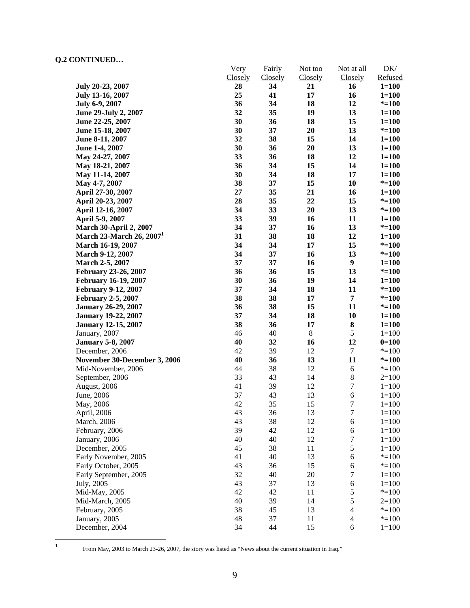|                                      | Very<br>Closely | Fairly               | Not too<br>Closely | Not at all<br>Closely    | $DK/$<br>Refused |
|--------------------------------------|-----------------|----------------------|--------------------|--------------------------|------------------|
| July 20-23, 2007                     | 28              | <b>Closely</b><br>34 | 21                 | 16                       | $1 = 100$        |
|                                      | 25              | 41                   | 17                 | 16                       | $1 = 100$        |
| July 13-16, 2007                     | 36              | 34                   | 18                 | 12                       | $* = 100$        |
| <b>July 6-9, 2007</b>                | 32              | 35                   | 19                 | 13                       |                  |
| June 29-July 2, 2007                 |                 |                      |                    |                          | $1 = 100$        |
| June 22-25, 2007                     | 30              | 36                   | 18                 | 15                       | $1 = 100$        |
| June 15-18, 2007                     | 30              | 37                   | 20                 | 13                       | $* = 100$        |
| June 8-11, 2007                      | 32              | 38                   | 15                 | 14                       | $1 = 100$        |
| June 1-4, 2007                       | 30              | 36                   | 20                 | 13                       | $1 = 100$        |
| May 24-27, 2007                      | 33              | 36                   | 18                 | 12                       | $1 = 100$        |
| May 18-21, 2007                      | 36              | 34                   | 15                 | 14                       | $1 = 100$        |
| May 11-14, 2007                      | 30              | 34                   | 18                 | 17                       | $1 = 100$        |
| May 4-7, 2007                        | 38              | 37                   | 15                 | 10                       | $* = 100$        |
| April 27-30, 2007                    | 27              | 35                   | 21                 | 16                       | $1 = 100$        |
| April 20-23, 2007                    | 28              | 35                   | 22                 | 15                       | $* = 100$        |
| April 12-16, 2007                    | 34              | 33                   | 20                 | 13                       | $* = 100$        |
| April 5-9, 2007                      | 33              | 39                   | 16                 | 11                       | $1 = 100$        |
| <b>March 30-April 2, 2007</b>        | 34              | 37                   | 16                 | 13                       | $* = 100$        |
| March 23-March 26, 2007 <sup>1</sup> | 31              | 38                   | 18                 | 12                       | $1 = 100$        |
| March 16-19, 2007                    | 34              | 34                   | 17                 | 15                       | $* = 100$        |
| March 9-12, 2007                     | 34              | 37                   | 16                 | 13                       | $* = 100$        |
| March 2-5, 2007                      | 37              | 37                   | 16                 | 9                        | $1 = 100$        |
| February 23-26, 2007                 | 36              | 36                   | 15                 | 13                       | $* = 100$        |
| <b>February 16-19, 2007</b>          | 30              | 36                   | 19                 | 14                       | $1 = 100$        |
| <b>February 9-12, 2007</b>           | 37              | 34                   | 18                 | 11                       | $* = 100$        |
| <b>February 2-5, 2007</b>            | 38              | 38                   | 17                 | $\overline{7}$           | $* = 100$        |
| <b>January 26-29, 2007</b>           | 36              | 38                   | 15                 | 11                       | $* = 100$        |
| <b>January 19-22, 2007</b>           | 37              | 34                   | 18                 | 10                       | $1 = 100$        |
| <b>January 12-15, 2007</b>           | 38              | 36                   | 17                 | ${\bf 8}$                | $1 = 100$        |
| January, 2007                        | 46              | 40                   | $\,8\,$            | 5                        | $1 = 100$        |
| <b>January 5-8, 2007</b>             | 40              | 32                   | 16                 | 12                       | $0=100$          |
| December, 2006                       | 42              | 39                   | 12                 | $\boldsymbol{7}$         | $* = 100$        |
| November 30-December 3, 2006         | 40              | 36                   | 13                 | 11                       | $* = 100$        |
| Mid-November, 2006                   | 44              | 38                   | 12                 | 6                        | $* = 100$        |
| September, 2006                      | 33              | 43                   | $14$               | $8\,$                    | $2=100$          |
| August, 2006                         | 41              | 39                   | 12                 | $\boldsymbol{7}$         | $1 = 100$        |
| June, 2006                           | 37              | 43                   | 13                 | $\sqrt{6}$               | $1 = 100$        |
| May, 2006                            | 42              | 35                   | 15                 | $\boldsymbol{7}$         | $1 = 100$        |
| April, 2006                          | 43              | 36                   | 13                 | 7                        | $1 = 100$        |
| March, 2006                          | 43              | 38                   | 12                 | 6                        | $1 = 100$        |
| February, 2006                       | 39              | 42                   | 12                 | $\boldsymbol{6}$         | $1 = 100$        |
| January, 2006                        | 40              | 40                   | 12                 | $\sqrt{ }$               | $1 = 100$        |
| December, 2005                       | 45              | 38                   | 11                 | 5                        | $1 = 100$        |
| Early November, 2005                 | 41              | 40                   | 13                 | 6                        | $* = 100$        |
| Early October, 2005                  | 43              | 36                   | 15                 | 6                        | $* = 100$        |
| Early September, 2005                | 32              | 40                   | 20                 | 7                        | $1 = 100$        |
| July, 2005                           | 43              | 37                   | 13                 | 6                        | $1 = 100$        |
| Mid-May, 2005                        | 42              | 42                   | 11                 | 5                        | $* = 100$        |
| Mid-March, 2005                      | 40              | 39                   | 14                 | 5                        | $2=100$          |
| February, 2005                       | 38              | 45                   | 13                 | $\overline{\mathcal{L}}$ | $* = 100$        |
| January, 2005                        | 48              | 37                   | 11                 | $\overline{4}$           | $* = 100$        |
| December, 2004                       | 34              | 44                   | 15                 | 6                        | $1 = 100$        |
|                                      |                 |                      |                    |                          |                  |

 $\frac{1}{1}$ 

From May, 2003 to March 23-26, 2007, the story was listed as "News about the current situation in Iraq."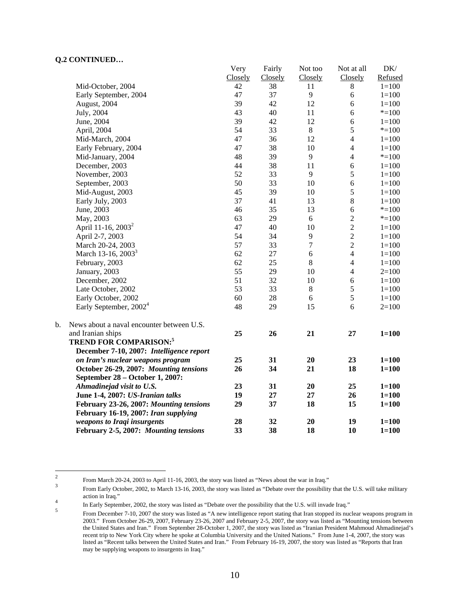|    |                                           | Very    | Fairly  | Not too    | Not at all     | DK/       |
|----|-------------------------------------------|---------|---------|------------|----------------|-----------|
|    |                                           | Closely | Closely | Closely    | Closely        | Refused   |
|    | Mid-October, 2004                         | 42      | 38      | 11         | $\,8\,$        | $1 = 100$ |
|    | Early September, 2004                     | 47      | 37      | 9          | 6              | $1 = 100$ |
|    | August, 2004                              | 39      | 42      | 12         | 6              | $1 = 100$ |
|    | July, 2004                                | 43      | 40      | 11         | 6              | $* = 100$ |
|    | June, 2004                                | 39      | 42      | 12         | 6              | $1 = 100$ |
|    | April, 2004                               | 54      | 33      | $8\,$      | 5              | $*=100$   |
|    | Mid-March, 2004                           | 47      | 36      | 12         | $\overline{4}$ | $1 = 100$ |
|    | Early February, 2004                      | 47      | 38      | 10         | $\overline{4}$ | $1 = 100$ |
|    | Mid-January, 2004                         | 48      | 39      | 9          | $\overline{4}$ | $* = 100$ |
|    | December, 2003                            | 44      | 38      | 11         | 6              | $1 = 100$ |
|    | November, 2003                            | 52      | 33      | 9          | 5              | $1 = 100$ |
|    | September, 2003                           | 50      | 33      | 10         | 6              | $1 = 100$ |
|    | Mid-August, 2003                          | 45      | 39      | 10         | 5              | $1 = 100$ |
|    | Early July, 2003                          | 37      | 41      | 13         | $\,8\,$        | $1 = 100$ |
|    | June, 2003                                | 46      | 35      | 13         | 6              | $*=100$   |
|    | May, 2003                                 | 63      | 29      | 6          | $\overline{2}$ | $* = 100$ |
|    | April 11-16, 2003 <sup>2</sup>            | 47      | 40      | 10         | $\overline{c}$ | $1 = 100$ |
|    | April 2-7, 2003                           | 54      | 34      | 9          | $\overline{c}$ | $1 = 100$ |
|    | March 20-24, 2003                         | 57      | 33      | $\tau$     | $\overline{2}$ | $1 = 100$ |
|    | March 13-16, 2003 <sup>3</sup>            | 62      | 27      | $\sqrt{6}$ | $\overline{4}$ | $1 = 100$ |
|    | February, 2003                            | 62      | 25      | $\,8\,$    | $\overline{4}$ | $1 = 100$ |
|    | January, 2003                             | 55      | 29      | 10         | $\overline{4}$ | $2=100$   |
|    | December, 2002                            | 51      | 32      | 10         | 6              | $1 = 100$ |
|    | Late October, 2002                        | 53      | 33      | $8\,$      | $\sqrt{5}$     | $1 = 100$ |
|    | Early October, 2002                       | 60      | 28      | 6          | 5              | $1 = 100$ |
|    | Early September, 2002 <sup>4</sup>        | 48      | 29      | 15         | 6              | $2=100$   |
| b. | News about a naval encounter between U.S. |         |         |            |                |           |
|    | and Iranian ships                         | 25      | 26      | 21         | 27             | $1 = 100$ |
|    | <b>TREND FOR COMPARISON:5</b>             |         |         |            |                |           |
|    | December 7-10, 2007: Intelligence report  |         |         |            |                |           |
|    | on Iran's nuclear weapons program         | 25      | 31      | 20         | 23             | $1 = 100$ |
|    | October 26-29, 2007: Mounting tensions    | 26      | 34      | 21         | 18             | $1 = 100$ |
|    | September 28 – October 1, 2007:           |         |         |            |                |           |
|    | Ahmadinejad visit to U.S.                 | 23      | 31      | 20         | 25             | $1 = 100$ |
|    | June 1-4, 2007: US-Iranian talks          | 19      | 27      | 27         | 26             | $1 = 100$ |
|    | February 23-26, 2007: Mounting tensions   | 29      | 37      | 18         | 15             | $1 = 100$ |
|    | February 16-19, 2007: Iran supplying      |         |         |            |                |           |
|    | weapons to Iraqi insurgents               | 28      | 32      | 20         | 19             | $1 = 100$ |
|    | February 2-5, 2007: Mounting tensions     | 33      | 38      | 18         | 10             | $1 = 100$ |

 $\frac{1}{2}$ From March 20-24, 2003 to April 11-16, 2003, the story was listed as "News about the war in Iraq." <sup>3</sup>

From Early October, 2002, to March 13-16, 2003, the story was listed as "Debate over the possibility that the U.S. will take military action in Iraq." 4

In Early September, 2002, the story was listed as "Debate over the possibility that the U.S. will invade Iraq."<br>
S

From December 7-10, 2007 the story was listed as "A new intelligence report stating that Iran stopped its nuclear weapons program in 2003." From October 26-29, 2007, February 23-26, 2007 and February 2-5, 2007, the story was listed as "Mounting tensions between the United States and Iran." From September 28-October 1, 2007, the story was listed as "Iranian President Mahmoud Ahmadinejad's recent trip to New York City where he spoke at Columbia University and the United Nations." From June 1-4, 2007, the story was listed as "Recent talks between the United States and Iran." From February 16-19, 2007, the story was listed as "Reports that Iran may be supplying weapons to insurgents in Iraq."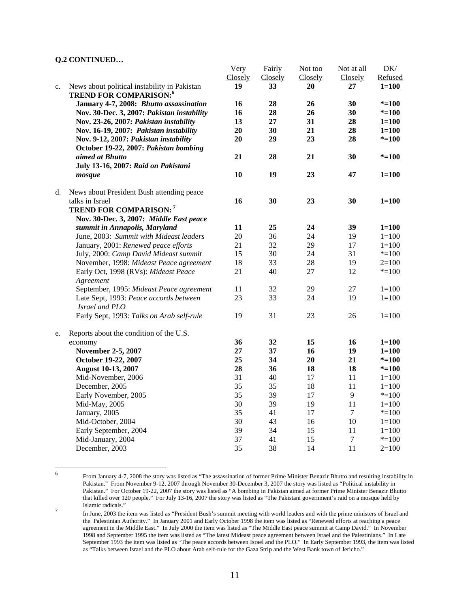|    |                                                                                | Very    | Fairly  | Not too | Not at all | DK/       |
|----|--------------------------------------------------------------------------------|---------|---------|---------|------------|-----------|
|    |                                                                                | Closely | Closely | Closely | Closely    | Refused   |
| c. | News about political instability in Pakistan<br><b>TREND FOR COMPARISON:</b> 6 | 19      | 33      | 20      | 27         | $1 = 100$ |
|    | January 4-7, 2008: Bhutto assassination                                        | 16      | 28      | 26      | 30         | $* = 100$ |
|    | Nov. 30-Dec. 3, 2007: Pakistan instability                                     | 16      | 28      | 26      | 30         | $* = 100$ |
|    | Nov. 23-26, 2007: Pakistan instability                                         | 13      | 27      | 31      | 28         | $1 = 100$ |
|    | Nov. 16-19, 2007: Pakistan instability                                         | 20      | 30      | 21      | 28         | $1 = 100$ |
|    | Nov. 9-12, 2007: Pakistan instability                                          | 20      | 29      | 23      | 28         | $* = 100$ |
|    | October 19-22, 2007: Pakistan bombing                                          |         |         |         |            |           |
|    | aimed at Bhutto                                                                | 21      | 28      | 21      | 30         | $* = 100$ |
|    | July 13-16, 2007: Raid on Pakistani                                            |         |         |         |            |           |
|    | mosque                                                                         | 10      | 19      | 23      | 47         | $1 = 100$ |
| d. | News about President Bush attending peace                                      |         |         |         |            |           |
|    | talks in Israel                                                                | 16      | 30      | 23      | 30         | $1 = 100$ |
|    | <b>TREND FOR COMPARISON:</b> 7                                                 |         |         |         |            |           |
|    | Nov. 30-Dec. 3, 2007: Middle East peace                                        |         |         |         |            |           |
|    | summit in Annapolis, Maryland                                                  | 11      | 25      | 24      | 39         | $1 = 100$ |
|    | June, 2003: Summit with Mideast leaders                                        | 20      | 36      | 24      | 19         | $1 = 100$ |
|    | January, 2001: Renewed peace efforts                                           | 21      | 32      | 29      | 17         | $1 = 100$ |
|    | July, 2000: Camp David Mideast summit                                          | 15      | 30      | 24      | 31         | $* = 100$ |
|    | November, 1998: Mideast Peace agreement                                        | 18      | 33      | 28      | 19         | $2=100$   |
|    | Early Oct, 1998 (RVs): Mideast Peace                                           | 21      | 40      | 27      | 12         | $* = 100$ |
|    | Agreement                                                                      |         |         |         |            |           |
|    | September, 1995: Mideast Peace agreement                                       | 11      | 32      | 29      | 27         | $1 = 100$ |
|    | Late Sept, 1993: Peace accords between                                         | 23      | 33      | 24      | 19         | $1 = 100$ |
|    | Israel and PLO                                                                 |         |         |         |            |           |
|    | Early Sept, 1993: Talks on Arab self-rule                                      | 19      | 31      | 23      | 26         | $1 = 100$ |
| e. | Reports about the condition of the U.S.                                        |         |         |         |            |           |
|    | economy                                                                        | 36      | 32      | 15      | 16         | $1 = 100$ |
|    | November 2-5, 2007                                                             | 27      | 37      | 16      | 19         | $1 = 100$ |
|    | October 19-22, 2007                                                            | 25      | 34      | 20      | 21         | $* = 100$ |
|    | <b>August 10-13, 2007</b>                                                      | 28      | 36      | 18      | 18         | $* = 100$ |
|    | Mid-November, 2006                                                             | 31      | 40      | 17      | 11         | $1 = 100$ |
|    | December, 2005                                                                 | 35      | 35      | 18      | 11         | $1 = 100$ |
|    | Early November, 2005                                                           | 35      | 39      | 17      | 9          | $* = 100$ |
|    | Mid-May, 2005                                                                  | 30      | 39      | 19      | 11         | $1 = 100$ |
|    | January, 2005                                                                  | 35      | 41      | 17      | $\tau$     | $* = 100$ |
|    | Mid-October, 2004                                                              | 30      | 43      | 16      | 10         | $1 = 100$ |
|    | Early September, 2004                                                          | 39      | 34      | 15      | 11         | $1 = 100$ |
|    | Mid-January, 2004                                                              | 37      | 41      | 15      | 7          | $* = 100$ |
|    | December, 2003                                                                 | 35      | 38      | 14      | 11         | $2=100$   |

 $F_{\text{ref}}(x)$ 

 $\frac{1}{6}$ 

From January 4-7, 2008 the story was listed as "The assassination of former Prime Minister Benazir Bhutto and resulting instability in Pakistan." From November 9-12, 2007 through November 30-December 3, 2007 the story was listed as "Political instability in Pakistan." For October 19-22, 2007 the story was listed as "A bombing in Pakistan aimed at former Prime Minister Benazir Bhutto that killed over 120 people." For July 13-16, 2007 the story was listed as "The Pakistani government's raid on a mosque held by Islamic radicals."<br>  $\frac{7}{7}$  Is Jane 2002 the

In June, 2003 the item was listed as "President Bush's summit meeting with world leaders and with the prime ministers of Israel and the Palestinian Authority." In January 2001 and Early October 1998 the item was listed as "Renewed efforts at reaching a peace agreement in the Middle East." In July 2000 the item was listed as "The Middle East peace summit at Camp David." In November 1998 and September 1995 the item was listed as "The latest Mideast peace agreement between Israel and the Palestinians." In Late September 1993 the item was listed as "The peace accords between Israel and the PLO." In Early September 1993, the item was listed as "Talks between Israel and the PLO about Arab self-rule for the Gaza Strip and the West Bank town of Jericho."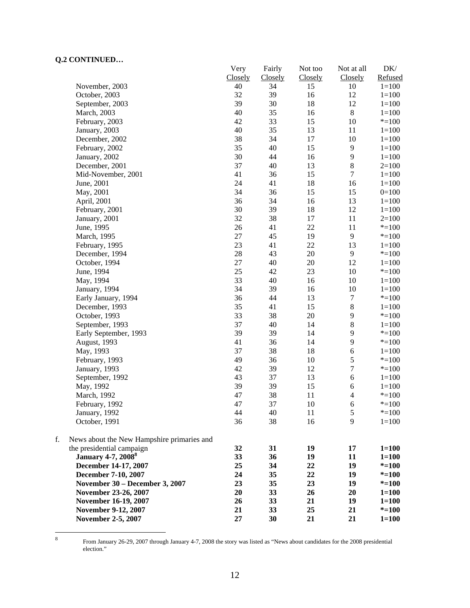|    |                                            | Very    | Fairly  | Not too | Not at all               | DK/       |
|----|--------------------------------------------|---------|---------|---------|--------------------------|-----------|
|    |                                            | Closely | Closely | Closely | Closely                  | Refused   |
|    | November, 2003                             | 40      | 34      | 15      | 10                       | $1 = 100$ |
|    | October, 2003                              | 32      | 39      | 16      | 12                       | $1 = 100$ |
|    | September, 2003                            | 39      | 30      | 18      | 12                       | $1 = 100$ |
|    | March, 2003                                | 40      | 35      | 16      | $\,8\,$                  | $1 = 100$ |
|    | February, 2003                             | 42      | 33      | 15      | 10                       | $* = 100$ |
|    | January, 2003                              | 40      | 35      | 13      | 11                       | $1 = 100$ |
|    | December, 2002                             | 38      | 34      | 17      | 10                       | $1 = 100$ |
|    | February, 2002                             | 35      | 40      | 15      | $\overline{9}$           | $1 = 100$ |
|    | January, 2002                              | 30      | 44      | 16      | $\mathbf{9}$             | $1 = 100$ |
|    | December, 2001                             | 37      | 40      | 13      | $\,8\,$                  | $2=100$   |
|    | Mid-November, 2001                         | 41      | 36      | 15      | $\overline{7}$           | $1 = 100$ |
|    | June, 2001                                 | 24      | 41      | 18      | 16                       | $1 = 100$ |
|    | May, 2001                                  | 34      | 36      | 15      | 15                       | $0=100$   |
|    | April, 2001                                | 36      | 34      | 16      | 13                       | $1 = 100$ |
|    |                                            | 30      |         |         | 12                       |           |
|    | February, 2001                             |         | 39      | 18      |                          | $1 = 100$ |
|    | January, 2001                              | 32      | 38      | 17      | 11                       | $2=100$   |
|    | June, 1995                                 | 26      | 41      | 22      | 11                       | $* = 100$ |
|    | March, 1995                                | 27      | 45      | 19      | 9                        | $* = 100$ |
|    | February, 1995                             | 23      | 41      | 22      | 13                       | $1 = 100$ |
|    | December, 1994                             | 28      | 43      | 20      | 9                        | $* = 100$ |
|    | October, 1994                              | 27      | 40      | $20\,$  | 12                       | $1 = 100$ |
|    | June, 1994                                 | 25      | 42      | 23      | 10                       | $* = 100$ |
|    | May, 1994                                  | 33      | 40      | 16      | 10                       | $1 = 100$ |
|    | January, 1994                              | 34      | 39      | 16      | 10                       | $1 = 100$ |
|    | Early January, 1994                        | 36      | 44      | 13      | $\tau$                   | $* = 100$ |
|    | December, 1993                             | 35      | 41      | 15      | $8\,$                    | $1 = 100$ |
|    | October, 1993                              | 33      | 38      | $20\,$  | $\overline{9}$           | $* = 100$ |
|    | September, 1993                            | 37      | 40      | 14      | $8\,$                    | $1 = 100$ |
|    | Early September, 1993                      | 39      | 39      | 14      | 9                        | $* = 100$ |
|    | August, 1993                               | 41      | 36      | 14      | 9                        | $* = 100$ |
|    | May, 1993                                  | 37      | 38      | 18      | 6                        | $1 = 100$ |
|    | February, 1993                             | 49      | 36      | 10      | 5                        | $* = 100$ |
|    | January, 1993                              | 42      | 39      | 12      | $\boldsymbol{7}$         | $* = 100$ |
|    | September, 1992                            | 43      | 37      | 13      | 6                        | $1 = 100$ |
|    | May, 1992                                  | 39      | 39      | 15      | 6                        | $1 = 100$ |
|    | March, 1992                                | 47      | 38      | 11      | $\overline{\mathcal{L}}$ | $* = 100$ |
|    | February, 1992                             | 47      | 37      | 10      | 6                        | $* = 100$ |
|    | January, 1992                              | 44      | 40      | 11      | 5                        | $* = 100$ |
|    | October, 1991                              | 36      | 38      | 16      | 9                        | $1 = 100$ |
| f. | News about the New Hampshire primaries and |         |         |         |                          |           |
|    | the presidential campaign                  | 32      | 31      | 19      | 17                       | $1 = 100$ |
|    | <b>January 4-7, 2008</b> <sup>8</sup>      | 33      | 36      | 19      | 11                       | $1 = 100$ |
|    | December 14-17, 2007                       | 25      | 34      | 22      | 19                       | $* = 100$ |
|    | December 7-10, 2007                        | 24      | 35      | 22      | 19                       | $* = 100$ |
|    | November 30 - December 3, 2007             | 23      | 35      | 23      | 19                       | $* = 100$ |
|    | November 23-26, 2007                       | 20      | 33      | 26      | 20                       | $1 = 100$ |
|    | November 16-19, 2007                       | 26      | 33      | 21      | 19                       | $1 = 100$ |
|    | November 9-12, 2007                        | 21      | 33      | 25      | 21                       | $* = 100$ |
|    | <b>November 2-5, 2007</b>                  | 27      | 30      | 21      | 21                       | $1 = 100$ |
|    |                                            |         |         |         |                          |           |

8

 From January 26-29, 2007 through January 4-7, 2008 the story was listed as "News about candidates for the 2008 presidential election."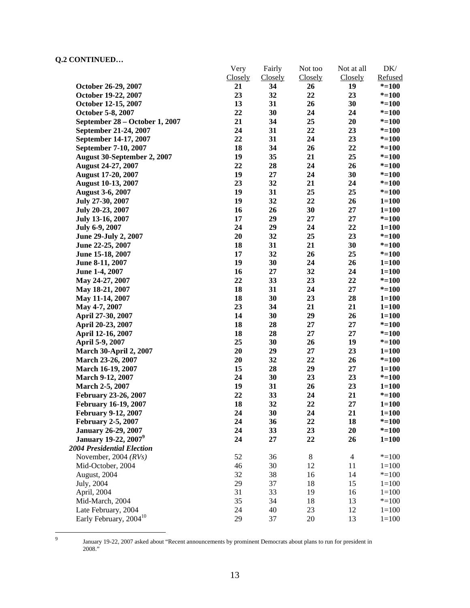|                                    | Very    | Fairly  | Not too | Not at all     | DK/       |
|------------------------------------|---------|---------|---------|----------------|-----------|
|                                    | Closely | Closely | Closely | Closely        | Refused   |
| October 26-29, 2007                | 21      | 34      | 26      | 19             | $* = 100$ |
| October 19-22, 2007                | 23      | 32      | 22      | 23             | $* = 100$ |
| October 12-15, 2007                | 13      | 31      | 26      | 30             | $* = 100$ |
| October 5-8, 2007                  | 22      | 30      | 24      | 24             | $* = 100$ |
| September 28 – October 1, 2007     | 21      | 34      | 25      | 20             | $* = 100$ |
| September 21-24, 2007              | 24      | 31      | 22      | 23             | $* = 100$ |
| September 14-17, 2007              | 22      | 31      | 24      | 23             | $* = 100$ |
| September 7-10, 2007               | 18      | 34      | 26      | 22             | $* = 100$ |
| August 30-September 2, 2007        | 19      | 35      | 21      | 25             | $* = 100$ |
| August 24-27, 2007                 | 22      | 28      | 24      | 26             | $* = 100$ |
| <b>August 17-20, 2007</b>          | 19      | 27      | 24      | 30             | $* = 100$ |
| <b>August 10-13, 2007</b>          | 23      | 32      | 21      | 24             | $* = 100$ |
| <b>August 3-6, 2007</b>            | 19      | 31      | 25      | 25             | $* = 100$ |
| July 27-30, 2007                   | 19      | 32      | 22      | 26             | $1 = 100$ |
| July 20-23, 2007                   | 16      | 26      | 30      | 27             | $1 = 100$ |
| July 13-16, 2007                   | 17      | 29      | 27      | 27             | $* = 100$ |
| July 6-9, 2007                     | 24      | 29      | 24      | 22             | $1 = 100$ |
| June 29-July 2, 2007               | 20      | 32      | 25      | 23             | $* = 100$ |
| June 22-25, 2007                   | 18      | 31      | 21      | 30             | $* = 100$ |
| June 15-18, 2007                   | 17      | 32      | 26      | 25             | $* = 100$ |
| June 8-11, 2007                    | 19      | 30      | 24      | 26             | $1 = 100$ |
| June 1-4, 2007                     | 16      | 27      | 32      | 24             | $1 = 100$ |
| May 24-27, 2007                    | 22      | 33      | 23      | 22             | $* = 100$ |
| May 18-21, 2007                    | 18      | 31      | 24      | $27\,$         | $* = 100$ |
| May 11-14, 2007                    | 18      | 30      | 23      | 28             | $1 = 100$ |
| May 4-7, 2007                      | 23      | 34      | 21      | 21             | $1 = 100$ |
| April 27-30, 2007                  | 14      | 30      | 29      | 26             | $1 = 100$ |
| April 20-23, 2007                  | 18      | 28      | 27      | 27             | $* = 100$ |
| April 12-16, 2007                  | 18      | 28      | 27      | 27             | $* = 100$ |
| April 5-9, 2007                    | 25      | 30      | 26      | 19             | $* = 100$ |
| <b>March 30-April 2, 2007</b>      | 20      | 29      | 27      | 23             | $1 = 100$ |
| March 23-26, 2007                  | 20      | 32      | 22      | 26             | $* = 100$ |
| March 16-19, 2007                  | 15      | 28      | 29      | 27             | $1 = 100$ |
| March 9-12, 2007                   | 24      | 30      | 23      | 23             | $* = 100$ |
| March 2-5, 2007                    | 19      | 31      | 26      | 23             | $1 = 100$ |
| February 23-26, 2007               | 22      | 33      | 24      | 21             | $* = 100$ |
| <b>February 16-19, 2007</b>        | 18      | 32      | 22      | 27             | $1 = 100$ |
| <b>February 9-12, 2007</b>         | 24      | 30      | 24      | 21             | $1 = 100$ |
| <b>February 2-5, 2007</b>          | 24      | 36      | 22      | 18             | $* = 100$ |
| <b>January 26-29, 2007</b>         | 24      | 33      | 23      | 20             | $* = 100$ |
| January 19-22, 2007 <sup>9</sup>   | 24      | 27      | 22      | 26             | $1 = 100$ |
| <b>2004 Presidential Election</b>  |         |         |         |                |           |
| November, 2004 $(RVs)$             | 52      | 36      | $\,8$   | $\overline{4}$ | $* = 100$ |
| Mid-October, 2004                  | 46      | 30      | 12      | 11             | $1 = 100$ |
| August, 2004                       | 32      | 38      | 16      | 14             | $* = 100$ |
| July, 2004                         | 29      | 37      | 18      | 15             | $1 = 100$ |
| April, 2004                        | 31      | 33      | 19      | 16             | $1 = 100$ |
| Mid-March, 2004                    | 35      | 34      | 18      | 13             | $* = 100$ |
| Late February, 2004                | 24      | 40      | 23      | 12             | $1 = 100$ |
| Early February, 2004 <sup>10</sup> | 29      | 37      | 20      | 13             | $1 = 100$ |
|                                    |         |         |         |                |           |

-<br>9

January 19-22, 2007 asked about "Recent announcements by prominent Democrats about plans to run for president in 2008."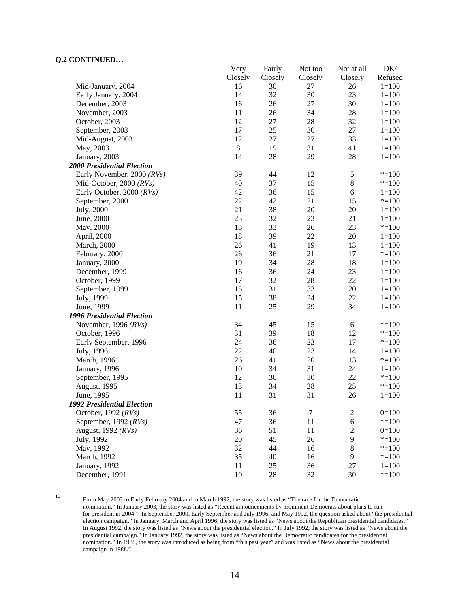|                                   | Very    | Fairly  | Not too          | Not at all       | DK/       |
|-----------------------------------|---------|---------|------------------|------------------|-----------|
|                                   | Closely | Closely | Closely          | Closely          | Refused   |
| Mid-January, 2004                 | 16      | 30      | 27               | 26               | $1 = 100$ |
| Early January, 2004               | 14      | 32      | 30               | 23               | $1 = 100$ |
| December, 2003                    | 16      | 26      | $27\,$           | 30               | $1 = 100$ |
| November, 2003                    | 11      | 26      | 34               | 28               | $1 = 100$ |
| October, 2003                     | 12      | $27\,$  | 28               | 32               | $1 = 100$ |
| September, 2003                   | 17      | 25      | 30               | $27\,$           | $1 = 100$ |
| Mid-August, 2003                  | 12      | 27      | 27               | 33               | $1 = 100$ |
| May, 2003                         | $\,8$   | 19      | 31               | 41               | $1 = 100$ |
| January, 2003                     | 14      | 28      | 29               | 28               | $1 = 100$ |
| <b>2000 Presidential Election</b> |         |         |                  |                  |           |
| Early November, 2000 (RVs)        | 39      | 44      | 12               | $\sqrt{5}$       | $* = 100$ |
| Mid-October, 2000 $(RVs)$         | 40      | 37      | 15               | $\bf 8$          | $* = 100$ |
| Early October, 2000 (RVs)         | 42      | 36      | 15               | $\sqrt{6}$       | $1 = 100$ |
| September, 2000                   | 22      | 42      | 21               | 15               | $* = 100$ |
| July, 2000                        | 21      | 38      | 20               | 20               | $1 = 100$ |
| June, 2000                        | 23      | 32      | 23               | 21               | $1 = 100$ |
| May, 2000                         | 18      | 33      | 26               | 23               | $* = 100$ |
| April, 2000                       | 18      | 39      | $22\,$           | 20               | $1 = 100$ |
| March, 2000                       | 26      | 41      | 19               | 13               | $1 = 100$ |
| February, 2000                    | 26      | 36      | 21               | 17               | $* = 100$ |
| January, 2000                     | 19      | 34      | 28               | 18               | $1 = 100$ |
| December, 1999                    | 16      | 36      | 24               | 23               | $1 = 100$ |
| October, 1999                     | 17      | 32      | 28               | $22\,$           | $1 = 100$ |
| September, 1999                   | 15      | 31      | 33               | $20\,$           | $1 = 100$ |
| July, 1999                        | 15      | 38      | 24               | 22               | $1 = 100$ |
| June, 1999                        | 11      | 25      | 29               | 34               | $1 = 100$ |
| 1996 Presidential Election        |         |         |                  |                  |           |
| November, 1996 $(RVs)$            | 34      | 45      | 15               | 6                | $* = 100$ |
| October, 1996                     | 31      | 39      | 18               | 12               | $* = 100$ |
| Early September, 1996             | 24      | 36      | 23               | 17               | $* = 100$ |
| July, 1996                        | 22      | 40      | 23               | 14               | $1 = 100$ |
| March, 1996                       | 26      | 41      | 20               | 13               | $* = 100$ |
| January, 1996                     | 10      | 34      | 31               | 24               | $1 = 100$ |
| September, 1995                   | 12      | 36      | 30               | 22               | $* = 100$ |
| August, 1995                      | 13      | 34      | 28               | 25               | $* = 100$ |
| June, 1995                        | 11      | 31      | 31               | 26               | $1 = 100$ |
| <b>1992 Presidential Election</b> |         |         |                  |                  |           |
| October, 1992 (RVs)               | 55      | 36      | $\boldsymbol{7}$ | $\overline{c}$   | $0=100$   |
| September, 1992 $(RVs)$           | 47      | 36      | 11               | $\sqrt{6}$       | $* = 100$ |
| August, 1992 (RVs)                | 36      | 51      | 11               | $\boldsymbol{2}$ | $0=100$   |
| July, 1992                        | $20\,$  | 45      | 26               | 9                | $* = 100$ |
| May, 1992                         | 32      | 44      | 16               | $\,$ 8 $\,$      | $* = 100$ |
| March, 1992                       | 35      | 40      | 16               | 9                | $* = 100$ |
| January, 1992                     | 11      | 25      | 36               | 27               | $1 = 100$ |
| December, 1991                    | 10      | 28      | 32               | 30               | $* = 100$ |
|                                   |         |         |                  |                  |           |

 10 From May 2003 to Early February 2004 and in March 1992, the story was listed as "The race for the Democratic nomination." In January 2003, the story was listed as "Recent announcements by prominent Democrats about plans to run for president in 2004." In September 2000, Early September and July 1996, and May 1992, the question asked about "the presidential election campaign." In January, March and April 1996, the story was listed as "News about the Republican presidential candidates." In August 1992, the story was listed as "News about the presidential election." In July 1992, the story was listed as "News about the presidential campaign." In January 1992, the story was listed as "News about the Democratic candidates for the presidential nomination." In 1988, the story was introduced as being from "this past year" and was listed as "News about the presidential campaign in 1988."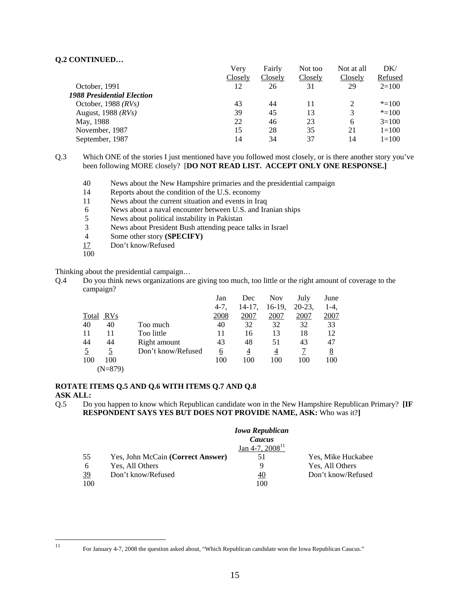|                            | Verv    | Fairly  | Not too | Not at all | DK/            |
|----------------------------|---------|---------|---------|------------|----------------|
|                            | Closely | Closely | Closely | Closely    | <b>Refused</b> |
| October, 1991              | 12      | 26      | 31      | 29         | $2=100$        |
| 1988 Presidential Election |         |         |         |            |                |
| October, 1988 $(RVs)$      | 43      | 44      | 11      |            | $* = 100$      |
| August, 1988 $(RVs)$       | 39      | 45      | 13      | 3          | $* = 100$      |
| May, 1988                  | 22      | 46      | 23      | 6          | $3=100$        |
| November, 1987             | 15      | 28      | 35      | 21         | $1=100$        |
| September, 1987            | 14      | 34      | 37      | 14         | $1=100$        |
|                            |         |         |         |            |                |

Q.3 Which ONE of the stories I just mentioned have you followed most closely, or is there another story you've been following MORE closely? [**DO NOT READ LIST. ACCEPT ONLY ONE RESPONSE.]** 

- 40 News about the New Hampshire primaries and the presidential campaign
- 14 Reports about the condition of the U.S. economy
- 11 News about the current situation and events in Iraq
- 6 News about a naval encounter between U.S. and Iranian ships
- 5 News about political instability in Pakistan
- 3 News about President Bush attending peace talks in Israel
- Some other story **(SPECIFY)**
- 17 Don't know/Refused
- 100

Thinking about the presidential campaign…

Q.4 Do you think news organizations are giving too much, too little or the right amount of coverage to the campaign?

|           |                    | Jan       | Dec       | <b>Nov</b> | July    | June         |
|-----------|--------------------|-----------|-----------|------------|---------|--------------|
|           |                    | $4 - 7$ , | $14-17$ , | $16-19$ ,  | $20-23$ | 1-4.         |
| Total RVs |                    | 2008      | 2007      | 2007       | 2007    | <u> 2007</u> |
| 40        | 40<br>Too much     | 40        | 32        | 32         | 32      | 33           |
| 11        | Too little<br>11   | 11        | 16        | 13         | 18      | 12           |
| 44        | 44<br>Right amount | 43        | 48        | 51         | 43      | 47           |
|           | Don't know/Refused | 6         | 4         | 4          |         | 8            |
| 100       | 100                | 100       | 100       | 100        | 100     | 100          |
|           | (N=879)            |           |           |            |         |              |

## **ROTATE ITEMS Q.5 AND Q.6 WITH ITEMS Q.7 AND Q.8**

#### **ASK ALL:**

Q.5 Do you happen to know which Republican candidate won in the New Hampshire Republican Primary? **[IF RESPONDENT SAYS YES BUT DOES NOT PROVIDE NAME, ASK:** Who was it?**]**

|     |                                   | <b>Iowa Republican</b> |                    |
|-----|-----------------------------------|------------------------|--------------------|
|     |                                   | Caucus                 |                    |
|     |                                   | Jan 4-7, $2008^{11}$   |                    |
| 55  | Yes, John McCain (Correct Answer) | 51                     | Yes, Mike Huckabee |
| 6   | Yes, All Others                   | 9                      | Yes, All Others    |
| 39  | Don't know/Refused                | 40                     | Don't know/Refused |
| 100 |                                   | 100                    |                    |

 $11$ 

<sup>11</sup> For January 4-7, 2008 the question asked about, "Which Republican candidate won the Iowa Republican Caucus."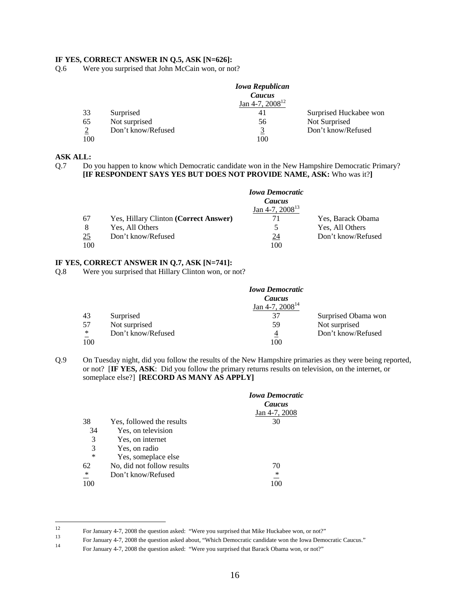### **IF YES, CORRECT ANSWER IN Q.5, ASK [N=626]:**

Q.6 Were you surprised that John McCain won, or not?

|     |                    | <b>Iowa Republican</b> |                        |
|-----|--------------------|------------------------|------------------------|
|     |                    | Caucus                 |                        |
|     |                    | Jan 4-7, $2008^{12}$   |                        |
| 33  | Surprised          | 41                     | Surprised Huckabee won |
| 65  | Not surprised      | 56                     | Not Surprised          |
| 2   | Don't know/Refused | 3                      | Don't know/Refused     |
| 100 |                    | 100                    |                        |

## **ASK ALL:**

Q.7 Do you happen to know which Democratic candidate won in the New Hampshire Democratic Primary? **[IF RESPONDENT SAYS YES BUT DOES NOT PROVIDE NAME, ASK:** Who was it?**]**

|     |                                       | <b>Iowa Democratic</b><br>Caucus |                    |
|-----|---------------------------------------|----------------------------------|--------------------|
|     |                                       | Jan 4-7, $2008^{13}$             |                    |
| 67  | Yes, Hillary Clinton (Correct Answer) | 71                               | Yes, Barack Obama  |
| 8   | Yes, All Others                       | 5                                | Yes, All Others    |
| 25  | Don't know/Refused                    | 24                               | Don't know/Refused |
| 100 |                                       | 100                              |                    |

## **IF YES, CORRECT ANSWER IN Q.7, ASK [N=741]:**

Q.8 Were you surprised that Hillary Clinton won, or not?

|        |                    | <b>Iowa Democratic</b> |                     |
|--------|--------------------|------------------------|---------------------|
|        |                    | Caucus                 |                     |
|        |                    | Jan 4-7, $2008^{14}$   |                     |
| 43     | Surprised          | 37                     | Surprised Obama won |
| 57     | Not surprised      | 59                     | Not surprised       |
| $\ast$ | Don't know/Refused |                        | Don't know/Refused  |
| 100    |                    | 100                    |                     |

Q.9 On Tuesday night, did you follow the results of the New Hampshire primaries as they were being reported, or not? [**IF YES, ASK**: Did you follow the primary returns results on television, on the internet, or someplace else?] **[RECORD AS MANY AS APPLY]**

|        |                            | <b><i>Iowa Democratic</i></b><br>Caucus<br>Jan 4-7, 2008 |
|--------|----------------------------|----------------------------------------------------------|
| 38     | Yes, followed the results  | 30                                                       |
| 34     | Yes, on television         |                                                          |
| 3      | Yes, on internet           |                                                          |
| 3      | Yes, on radio              |                                                          |
| $\ast$ | Yes, someplace else        |                                                          |
| 62     | No, did not follow results | 70                                                       |
| ∗      | Don't know/Refused         | ∗                                                        |
|        |                            |                                                          |

 $12$ 

For January 4-7, 2008 the question asked: "Were you surprised that Mike Huckabee won, or not?"<br>
For January 4-7, 2008 the question asked about, "Which Democratic candidate won the Iowa Democratic Caucus."<br>
For January 4-7,